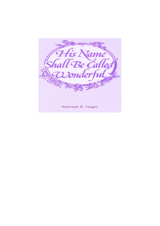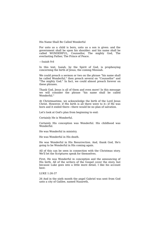His Name Shall Be Called Wonderful

For unto us a child is born, unto us a son is given: and the government shall be upon his shoulder: and his name shall be called WONDERFUL, Counsellor, The mighty God, The everlasting Father, The Prince of Peace.

—Isaiah 9:6

In this text, Isaiah, by the Spirit of God, is prophesying concerning the birth of Jesus, the coming Messiah.

We could preach a sermon or two on the phrase "his name shall be called Wonderful," then preach several on "Counsellor" and "The mighty God." In fact, we could almost preach forever on these phrases.

Thank God, Jesus is all of them and even more! In this message we will consider the phrase "his name shall be called Wonderful."

At Christmastime, we acknowledge the birth of the Lord Jesus Christ. However, if His birth is all there were to it—if He was born and it ended there—there would be no plan of salvation.

Let's look at God's plan from beginning to end:

Certainly He is Wonderful.

Certainly His conception was Wonderful. His childhood was **Wonderful** 

He was Wonderful in ministry.

He was Wonderful in His death.

He was Wonderful in His Resurrection. And, thank God, He's going to be Wonderful in His coming again.

All of this can be seen in connection with the Christmas story. We'll let the Scriptures speak for themselves.

First, He was Wonderful in conception and the announcing of His birth. All of the writers of the Gospel cover the story, but because Luke goes into a little more detail, I like his account best:

LUKE 1:26-37

26 And in the sixth month the angel Gabriel was sent from God unto a city of Galilee, named Nazareth,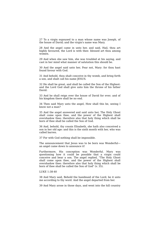27 To a virgin espoused to a man whose name was Joseph, of the house of David; and the virgin's name was Mary.

28 And the angel came in unto her, and said, Hail, thou art highly favoured, the Lord is with thee: blessed art thou among women.

29 And when she saw him, she was troubled at his saying, and cast in her mind what manner of salutation this should be.

30 And the angel said unto her, Fear not, Mary: for thou hast found favour with God.

31 And behold, thou shalt conceive in thy womb, and bring forth a son, and shalt call his name JESUS.

32 He shall be great, and shall be called the Son of the Highest: and the Lord God shall give unto him the throne of his father David:

33 And he shall reign over the house of David for ever; and of his kingdom there shall be no end.

34 Then said Mary unto the angel, How shall this be, seeing I know not a man?

35 And the angel answered and said unto her, The Holy Ghost shall come upon thee, and the power of the Highest shall overshadow thee: therefore also that holy thing which shall be born of thee shall be called the Son of God.

36 And, behold, thy cousin Elisabeth, she hath also conceived a son in her old age: and this is the sixth month with her, who was called barren.

37 For with God nothing shall be impossible.

The announcement that Jesus was to be born was Wonderful an angel came down to announce it!

Furthermore, His conception was Wonderful. Mary was questioning how it could be possible that a virgin could conceive and bear a son. The angel replied, "The Holy Ghost shall come upon thee, and the power of the Highest shall overshadow thee: therefore also that holy thing which shall be born of thee shall be called the Son of God" (v. 35).

## LUKE 1:38-40

38 And Mary said, Behold the handmaid of the Lord; be it unto me according to thy word. And the angel departed from her.

39 And Mary arose in those days, and went into the hill country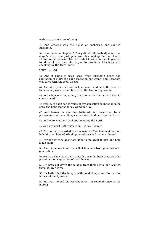with haste, into a city of Juda;

40 And entered into the house of Zacharias, and saluted Elisabeth.

As Luke notes in chapter 2, Mary didn't tell anybody about the angel's visit; she just pondered his sayings in her heart. Therefore, her cousin Elisabeth didn't know what had happened to Mary at the time she began to prophesy. Elisabeth was speaking by the Holy Spirit:

## LUKE 1:41-56

41 And it came to pass, that, when Elisabeth heard the salutation of Mary, the babe leaped in her womb; and Elisabeth was filled with the Holy Ghost:

42 And she spake out with a loud voice, and said, Blessed art thou among women, and blessed is the fruit of thy womb.

43 And whence is this to me, that the mother of my Lord should come to me?

44 For, lo, as soon as the voice of thy salutation sounded in mine ears, the babe leaped in my womb for joy.

45 And blessed is she that believed: for there shall be a performance of those things which were told her from the Lord.

46 And Mary said, My soul doth magnify the Lord,

47 And my spirit hath rejoiced in God my Saviour.

48 For he hath regarded the low estate of his handmaiden: for, behold, from henceforth all generations shall call me blessed.

49 For he that is mighty hath done to me great things; and holy is his name.

50 And his mercy is on them that fear him from generation to generation.

51 He hath shewed strength with his arm; he hath scattered the proud in the imagination of their hearts.

52 He hath put down the mighty from their seats, and exalted them of low degree.

53 He hath filled the hungry with good things; and the rich he hath sent empty away.

54 He hath helped his servant Israel, in remembrance of his mercy;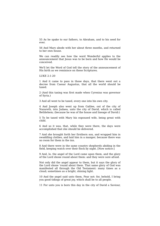55 As he spake to our fathers, to Abraham, and to his seed for ever.

56 And Mary abode with her about three months, and returned to her own house.

We can readily see how the word Wonderful applies to the announcement that Jesus was to be born and how He would be conceived.

We'll let the Word of God tell the story of the announcement of His birth as we reminisce on these Scriptures.

LUKE 2:1-20

1 And it came to pass in those days, that there went out a decree from Caesar Augustus, that all the world should be taxed.

2 (And this taxing was first made when Cyrenius was governor of Syria.)

3 And all went to be taxed, every one into his own city.

4 And Joseph also went up from Galilee, out of the city of Nazareth, into Judaea, unto the city of David, which is called Bethlehem; (because he was of the house and lineage of David:)

5 To be taxed with Mary his espoused wife, being great with child.

6 And so it was, that, while they were there, the days were accomplished that she should be delivered.

7 And she brought forth her firstborn son, and wrapped him in swaddling clothes, and laid him in a manger; because there was no room for them in the inn.

8 And there were in the same country shepherds abiding in the field, keeping watch over their flock by night. [Now notice:]

9 And, lo, the angel of the Lord came upon them, and the glory of the Lord shone round about them: and they were sore afraid.

Not only did the angel appear to them, but it says the glory of the Lord shone 'round about them. That same glory of God was manifested all through the Old Testament: many times as a cloud; sometimes as a bright, shining light.

10 And the angel said unto them, Fear not: for, behold, I bring you good tidings of great joy, which shall be to all people.

11 For unto you is born this day in the city of David a Saviour,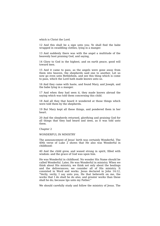which is Christ the Lord.

12 And this shall be a sign unto you; Ye shall find the babe wrapped in swaddling clothes, lying in a manger.

13 And suddenly there was with the angel a multitude of the heavenly host praising God, and saying,

14 Glory to God in the highest, and on earth peace, good will toward men.

15 And it came to pass, as the angels were gone away from them into heaven, the shepherds said one to another, Let us now go even unto Bethlehem, and see this thing which is come to pass, which the Lord hath made known unto us.

16 And they came with haste, and found Mary, and Joseph, and the babe lying in a manger.

17 And when they had seen it, they made known abroad the saying which was told them concerning this child.

18 And all they that heard it wondered at those things which were told them by the shepherds.

19 But Mary kept all these things, and pondered them in her heart.

20 And the shepherds returned, glorifying and praising God for all things that they had heard and seen, as it was told unto them.

Chapter 2

WONDERFUL IN MINISTRY

The announcement of Jesus' birth was certainly Wonderful. The 40th verse of Luke 2 shows that He also was Wonderful in childhood:

40 And the child grew, and waxed strong in spirit, filled with wisdom: and the grace of God was upon him.

He was Wonderful in childhood. No wonder His Name should be called Wonderful. Later, He was Wonderful in ministry. When we think about His ministry, we think not only about the healings and the deliverances; we consider all of His ministry. It consisted in Word and works. Jesus declared in John 14:12, "Verily, verily, I say unto you, He that believeth on me, the works that I do shall he do also; and greater works than these shall he do; because Igo unto my Father."

We should carefully study and follow the ministry of Jesus. The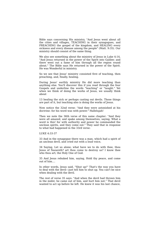Bible says concerning His ministry, "And Jesus went about all the cities and villages, TEACHING in their synagogues, and PREACHING the gospel of the kingdom, and HEALING every sickness and every disease among the people" (Matt. 9:35). Our ministry should consist of the same thing.

We also see something about the ministry of Jesus in Luke 4:14, "And Jesus returned in the power of the Spirit into Galilee: and there went out a fame of him through all the region round about." The Bible says He returned in the power of the Spirit. He was Wonderful in ministry.

So we see that Jesus' ministry consisted first of teaching, then preaching, and, finally, healing.

During Jesus' earthly ministry He did more teaching than anything else. You'll discover this if you read through the four Gospels and underline the words "teaching" or "taught." Yet when we think of doing the works of Jesus, we usually think about

13 healing the sick or perhaps casting out devils. Those things are part of it, but teaching also is doing the works of Jesus.

Now notice the 32nd verse: "And they were astonished at his doctrine: for his word was with power." Hallelujah!

Then we note the 36th verse of this same chapter: "And they were all amazed, and spake among themselves, saying, What a word is this! for with authority and power he commanded the unclean spirits, and they come out." They said that in response to what had happened in the 33rd verse:

LUKE 4:33-37

33 And in the synagogue there was a man, which had a spirit of an unclean devil, and cried out with a loud voice,

34 Saying, Let us alone; what have we to do with thee, thou Jesus of Nazareth? art thou come to destroy us? I know thee who thou art; the Holy One of God.

35 And Jesus rebuked him, saying, Hold thy peace, and come out of him....

In other words, Jesus said, "Shut up!" That's the way you have to deal with the devil—just tell him to shut up. You can't be nice when dealing with the devil.

The rest of verse 35 says: "And when the devil had thrown him in the midst, he came out of him, and hurt him not." That devil wanted to act up before he left. He knew it was his last chance,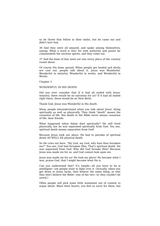so he threw that fellow in their midst, but he came out and didn't hurt him.

36 And they were all amazed, and spake among themselves, saying, What a word is this! for with authority and power he commandeth the unclean spirits, and they come out.

37 And the fame of him went out into every place of the country round about.

Of course His fame spread. When people get healed and devils are cast out, people talk about it. Jesus was Wonderful: Wonderful in ministry, Wonderful in works, and Wonderful in Words.

Chapter 3

### WONDERFUL IN HIS DEATH

Did you ever consider that if it had all ended with Jesus' ministry, there would be no salvation for us? If it had all ended right there, there would be no New Birth.

Thank God, Jesus was Wonderful in His death.

Many people misunderstand when you talk about Jesus' dying spiritually as well as physically. They think "death" means the cessation of life. But death in the Bible never means cessation of life, dear friends.

What happened when Adam died spiritually? He still lived physically, but he was separated spiritually from God. You see, spiritual death means separation from God!

Because Jesus took our place, He had to partake of spiritual death AS WELL AS physical death.

So He cries out here, "My God, my God, why hast thou forsaken me?" You see, God had forsaken Him. That's spiritual death. He was separated from God. Why did God forsake Him? Because Jesus was made sin for us, and God cannot look upon sin.

Jesus was made sin for us! He took my place! He became what I was, praise God, that I might become what He is.

Can you understand that? It's simple—all you have to be is intelligent—yet people want to fight over it. (Actually, when you get down to brass tacks, they believe the same thing, or else they don't believe the Bible—one of the two—or they couldn't be saved.)

Often people will pick some little statement out of context to argue about. Bless their hearts, you feel so sorry for them, but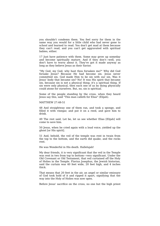you shouldn't condemn them. You feel sorry for them in the same way you would for a little child who had never gone to school and learned to read. You don't get mad at them because they can't read, and you can't get aggravated with spiritual babies, either.

17 Just have patience with them. Some may grow up someday and become spiritually mature. And if they don't—well, you don't have to worry about it. They've got it made anyway as long as they believe Jesus as their Savior.

"My God, my God, why hast thou forsaken me?" Why did God forsake Jesus? Because He had become sin. Jesus never committed sin. God made Him to be sin with our sin. Was it Jesus' body that became sin? No! It was His spirit that became sin, because sin is not a physical thing; it's a spiritual thing. If sin were only physical, then each one of us by dying physically could atone for ourselves. But, no, sin is spiritual.

Some of the people standing by the cross, when they heard Jesus say this, said "This man calleth for Elias" (Elijah).

MATTHEW 27:48-51

48 And straightway one of them ran, and took a sponge, and filled it with vinegar, and put it on a reed, and gave him to drink.

49 The rest said, Let be, let us see whether Elias [Elijah] will come to save him.

50 Jesus, when he cried again with a loud voice, yielded up the ghost [or His spirit].

51 And, behold, the veil of the temple was rent in twain from the top to the bottom, and the earth did quake, and the rocks rent.

He was Wonderful in His death. Hallelujah!

My dear friends, it is very significant that the veil in the Temple was rent in two from top to bottom—very significant. Under the Old Covenant or Old Testament, that veil curtained off the Holy of Holies in the Temple. Flavius Josephus, the Jewish historian, said the curtain was 40 feet wide, 20 feet high, and 4 inches thick.

That means that 20 feet in the air, an angel or similar emissary of God took hold of it and ripped it apart, signifying that the way into the Holy of Holies was now open.

Before Jesus' sacrifice on the cross, no one but the high priest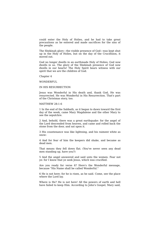could enter the Holy of Holies, and he had to take great precautions as he entered and made sacrifices for the sins of the people.

The Shekinah glory—the visible presence of God—was kept shut up in the Holy of Holies, but on the day of the Crucifixion, it moved out.

God no longer dwells in an earthmade Holy of Holies; God now dwells in us. The glory of the Shekinah presence of God now dwells in our hearts! The Holy Spirit bears witness with our spirit that we are the children of God.

Chapter 4

WONDERFUL

### IN HIS RESURRECTION

Jesus was Wonderful in His death and, thank God, He was resurrected. He was Wonderful in His Resurrection. That's part of the Christmas story, too.

## MATTHEW 28:1-6

1 In the end of the Sabbath, as it began to dawn toward the first day of the week, came Mary Magdalene and the other Mary to see the sepulchre.

2 And, behold, there was a great earthquake: for the angel of the Lord descended from heaven, and came and rolled back the stone from the door, and sat upon it.

3 His countenance was like lightning, and his raiment white as snow:

4 And for fear of him the keepers did shake, and became as dead men.

That means they fell down flat. (You've never seen any dead men standing up, have you?)

5 And the angel answered and said unto the women. Fear not ye: for I know that ye seek Jesus, which was crucified.

Are you ready for verse 6? Here's the Wonderful message, because "His Name shall be called Wonderful."

6 He is not here: for he is risen, as he said. Come, see the place where the Lord lay.

Where is He? He is not here! All the powers of earth and hell have failed to keep Him. According to John's Gospel, Mary said,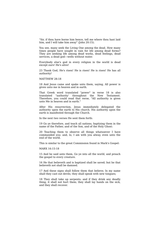"Sir, if thou have borne him hence, tell me where thou hast laid him, and I will take him away" (John 20:15).

You see, many seek the Living One among the dead. How many times people have sought in vain for life among dead forms? They are seeking life among dead works, dead feelings, dead services, a dead god—wells without water.

Everybody else's god in every religion in the world is dead except ours! He's alive!

23 Thank God, He's risen! He is risen! He is risen! He has all authority!

### MATTHEW 28:18

18 And Jesus came and spake unto them, saying, All power is given unto me in heaven and in earth.

That Greek word translated "power" in verse 18 is also translated "authority' throughout the New Testament. Therefore, you could read that verse, "All authority is given unto Me in heaven and in earth."

After His resurrection, Jesus immediately delegated the authority upon the earth to His church. His authority upon the earth is manifested through the Church.

In the next two verses He sent them forth:

19 Go ye therefore, and teach all nations, baptizing them in the name of the Father, and of the Son, and of the Holy Ghost:

20 Teaching them to observe all things whatsoever I have commanded you: and, lo, I am with you alway, even unto the end of the world.

This is similar to the great Commission found in Mark's Gospel:

### MARX 16:15-18

15 And he said unto them, Go ye into all the world, and preach the gospel to every creature.

16 He that believeth and is baptized shall be saved; but he that believeth not shall be damned.

17 And these signs shall follow them that believe; In my name shall they cast out devils; they shall speak with new tongues;

18 They shall take up serpents; and if they drink any deadly thing, it shall not hurt them; they shall lay hands on the sick, and they shall recover.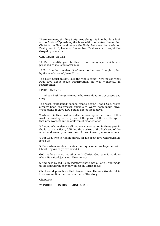There are many thrilling Scriptures along this line, but let's look at the Book of Ephesians, the book with the central theme that Christ is the Head and we are the Body. Let's see the revelation Paul gives in Ephesians. Remember, Paul was not taught the Gospel by some man:

### GALATIANS 1:11,12

11 But I certify you, brethren, that the gospel which was preached of me is not after man.

12 For I neither received it of man, neither was I taught it, but by the revelation of Jesus Christ.

The Holy Spirit taught Paul the whole thing! Now notice what Paul says about Jesus' resurrection. He was Wonderful in resurrection.

## EPHESIANS 2:1-6

1 And you hath he quickened, who were dead in trespasses and sins;

The word "quickened" means "made alive." Thank God, we've already been resurrected spiritually. We've been made alive. We're going to have new bodies one of these days.

2 Wherein in time past ye walked according to the course of this world, according to the prince of the power of the air, the spirit that now worketh in the children of disobedience:

3 Among whom also we all had our conversation in times past in the lusts of our flesh, fulfilling the desires of the flesh and of the mind; and were by nature the children of wrath, even as others.

4 But God, who is rich in mercy, for his great love wherewith he loved us.

5 Even when we dead in sins, hath quickened us together with Christ, (by grace ye are saved;)

God made us alive together with Christ. God saw it as done when He raised Jesus up. Now notice:

6 And hath raised us up together [that's not all of it], and made us sit together in heavenly places in Christ Jesus.

Oh, I could preach on that forever! Yes, He was Wonderful in His resurrection, but that's not all of the story.

Chapter 5

WONDERFUL IN HIS COMING AGAIN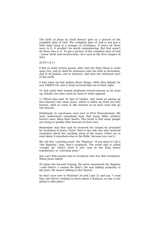The birth of Jesus by itself doesn't give us a picture of the complete plan of God. The complete plan of God is not just a little baby lying in a manger at Christmas. If that's all there were to it, it wouldn't be worth remembering. But that wasn't all there was to it. To get a picture of the complete plan of God —Jesus' birth and resurrection—let's turn to the first chapter of Acts.

ACTS 1:8-11

8 But ye shall receive power, after that the Holy Ghost is come upon you: and ye shall be witnesses unto me both in Jerusalem, and in all Judaea, and in Samaria, and unto the uttermost part of the earth.

9 And when he had spoken these things, while they beheld, he was TAKEN UP; and a cloud received him out of their sight.

10 And while they looked stedfastly toward heaven as he went up, behold, two men stood by them in white apparel;

11 Which also said, Ye men of Galilee, why stand ye gazing up into heaven? this same Jesus, which is taken up from you into heaven, shall so come in like manner as ye have seen him go into heaven.

Hallelujah! In conclusion, turn over to First Thessalonians. We must understand something here that many Bible scholars haven't seen, bless their hearts. The result is that many people are trying to peddle little theories of their own.

Remember that Paul said he received the Gospel he preached by revelation of Jesus Christ. Paul is the only one who received revelation about the catching away of the saints. (Don't try to read about it anywhere else in the Bible, because you can't.)

We call this "catching away" the "Rapture." If you want to call it "the Rapture," fine; that's scriptural. The event also is called "caught up" (that's what it also says in the King James translation), or "catching away."

You can't find anyone else in Scripture who has that revelation. When Jesus talked

29 about the Second Coming, He never mentioned the Rapture —and there's a reason He didn't. He was talking primarily to the Jews; He wasn't talking to the Church.

So don't turn over to Matthew 24 and Luke 21 and say, "I read that and there's nothing in there about a Rapture, so one is not going to take place."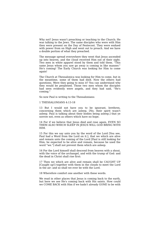Why not? Jesus wasn't preaching or teaching to the Church; He was talking to the Jews. The same disciples who were with Him then were present on the Day of Pentecost. They were endued with power from on High and went out to preach. And we have a double portion of what they preached.

The message spread everywhere they went that Jesus ascended up into heaven, and the cloud received Him out of their sight. Two men in white apparel stood by them and told them. "This same Jesus whom you saw go away is coming in like manner." He's coming! The Early Church was looking for Him to come again!

The Church at Thessalonica was looking for Him to come, but in the meantime, some of them had died. Now the others had questions. Were they going to miss it? You can understand why they would be perplexed. Those two men whom the disciples had seen evidently were angels, and they had said, "He's coming."

So now Paul is writing to the Thessalonians:

### 1 THESSALONIANS 4:13-18

13 But I would not have you to be ignorant, brethren, concerning them which are asleep, [No, their spirit wasn't asleep. Paul is talking about their bodies being asleep.] that ye sorrow not, even as others which have no hope.

14 For if we believe that Jesus died and rose again, EVEN SO THEM ALSO WHICH SLEEP IN JESUS WILL GOD BRING WITH HIM.

15 For this we say unto you by the word of the Lord [You see, Paul had a Word from the Lord on it.], that we which are alive and remain unto the coming of the Lord [Paul is still looking for Him; he expected to be alive and remain, because he used the word "we."] shall not prevent them which are asleep.

16 For the Lord himself shall descend from heaven with a shout, with the voice of the archangel, and with the trump of God: and the dead in Christ shall rise first:

17 Then we which are alive and remain shall be CAUGHT UP [Caught up!] together with them in the clouds to meet the Lord in the air: and so shall we ever be with the Lord.

18 Wherefore comfort one another with these words.

We read in other places that Jesus is coming back to the earth, but here we see He's coming back with His saints. How could we COME BACK with Him if we hadn't already GONE to be with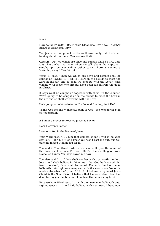# Him?

How could we COME BACK from Oklahoma City if we HAVEN'T BEEN to Oklahoma City?

Yes, Jesus is coming back to the earth eventually, but this is not talking about that here. Can you see that?

CAUGHT UP! We which are alive and remain shall be CAUGHT UP! That's what we mean when we talk about the Rapture caught up. You may call it either term. There is coming a "catching away." Caught up!

Verse 17 says, "Then we which are alive and remain shall be caught up TOGETHER WITH THEM in the clouds to meet the Lord in the air: and so shall we ever be with the Lord." With whom? With those who already have been raised from the dead in Christ.

It says we'll be caught up together with them "in the clouds." We're going to be caught up in the clouds to meet the Lord in the air, and so shall we ever be with the Lord.

He's going to be Wonderful in His Second Coming, isn't He?

Thank God for the Wonderful plan of God—the Wonderful plan of Redemption!

A Sinner's Prayer to Receive Jesus as Savior

Dear Heavenly Father,

I come to You in the Name of Jesus.

Your Word says, ". . . him that cometh to me I will in no wise cast out" (John 6:37), so I know You won't cast me out, but You take me in and I thank You for it.

You said in Your Word, "Whosoever shall call upon the name of the Lord shall be saved" (Rom. 10:13). I am calling on Your Name, so I know You have saved me now

You also said ". . . if thou shalt confess with thy mouth the Lord Jesus, and shalt believe in thine heart that God hath raised him from the dead, thou shalt be saved. For with the heart man believeth unto righteousness; and with the mouth confession is made unto salvation" (Rom. 10:9-10). I believe in my heart Jesus Christ is the Son of God. I believe that He was raised from the dead for my justification, and I confess Him now as my Lord.

Because Your Word says, ". . . with the heart man believeth unto righteousness . . ." and I do believe with my heart, I have now